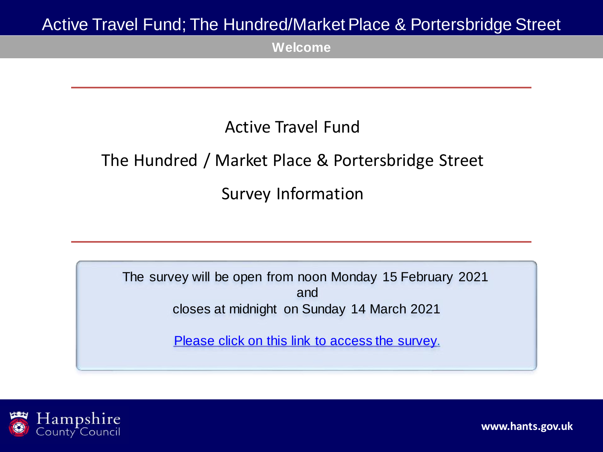**Welcome**

## Active Travel Fund

# The Hundred / Market Place & Portersbridge Street Survey Information

The survey will be open from noon Monday 15 February 2021 and closes at midnight on Sunday 14 March 2021

[Please click on this link to access the survey.](https://etehampshirecc.researchfeedback.net/s.asp?k=161227182174)

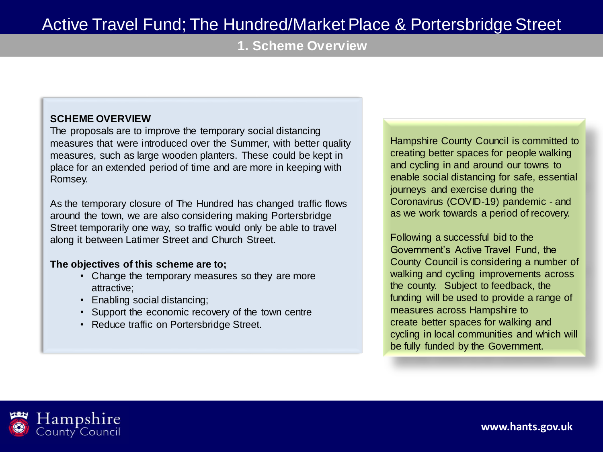**1. Scheme Overview**

#### **SCHEME OVERVIEW**

The proposals are to improve the temporary social distancing measures that were introduced over the Summer, with better quality measures, such as large wooden planters. These could be kept in place for an extended period of time and are more in keeping with Romsey.

As the temporary closure of The Hundred has changed traffic flows around the town, we are also considering making Portersbridge Street temporarily one way, so traffic would only be able to travel along it between Latimer Street and Church Street.

#### **The objectives of this scheme are to;**

- Change the temporary measures so they are more attractive;
- Enabling social distancing;
- Support the economic recovery of the town centre
- Reduce traffic on Portersbridge Street.

Hampshire County Council is committed to creating better spaces for people walking and cycling in and around our towns to enable social distancing for safe, essential journeys and exercise during the Coronavirus (COVID-19) pandemic - and as we work towards a period of recovery.

Following a successful bid to the Government's Active Travel Fund, the County Council is considering a number of walking and cycling improvements across the county. Subject to feedback, the funding will be used to provide a range of measures across Hampshire to create better spaces for walking and cycling in local communities and which will be fully funded by the Government.

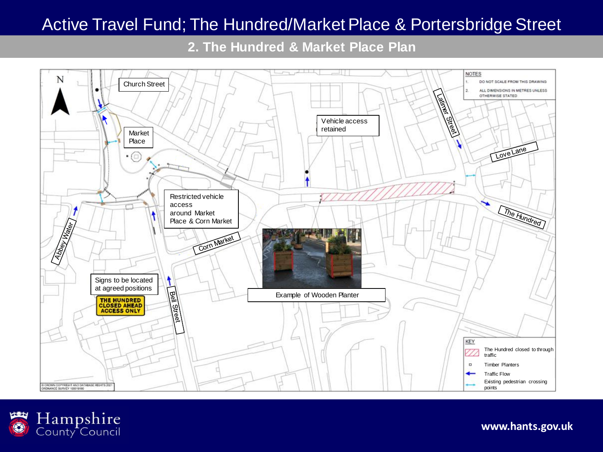**2. The Hundred & Market Place Plan**



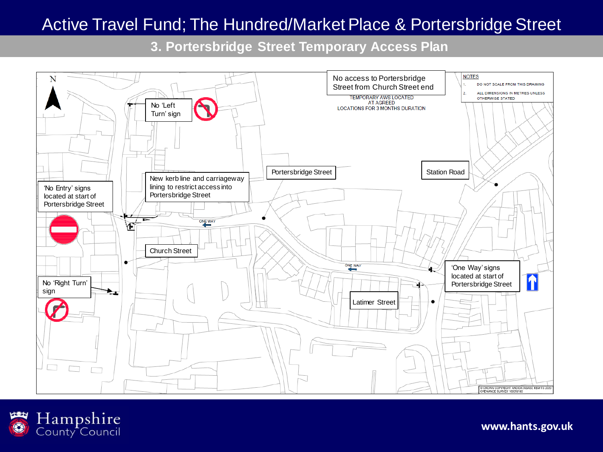**3. Portersbridge Street Temporary Access Plan**



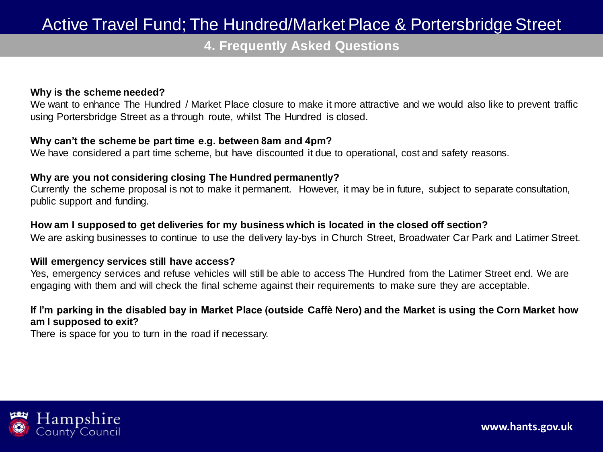**4. Frequently Asked Questions**

#### **Why is the scheme needed?**

We want to enhance The Hundred / Market Place closure to make it more attractive and we would also like to prevent traffic using Portersbridge Street as a through route, whilst The Hundred is closed.

#### **Why can't the scheme be part time e.g. between 8am and 4pm?**

We have considered a part time scheme, but have discounted it due to operational, cost and safety reasons.

#### **Why are you not considering closing The Hundred permanently?**

Currently the scheme proposal is not to make it permanent. However, it may be in future, subject to separate consultation, public support and funding.

#### **How am I supposed to get deliveries for my business which is located in the closed off section?**

We are asking businesses to continue to use the delivery lay-bys in Church Street, Broadwater Car Park and Latimer Street.

#### **Will emergency services still have access?**

Yes, emergency services and refuse vehicles will still be able to access The Hundred from the Latimer Street end. We are engaging with them and will check the final scheme against their requirements to make sure they are acceptable.

#### **If I'm parking in the disabled bay in Market Place (outside Caffè Nero) and the Market is using the Corn Market how am I supposed to exit?**

There is space for you to turn in the road if necessary.

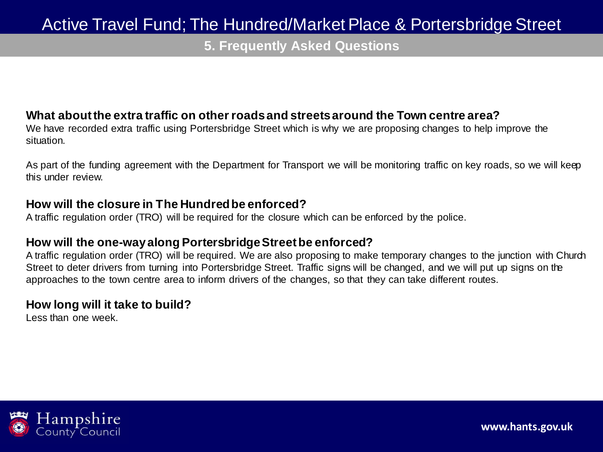**5. Frequently Asked Questions**

### **What about the extra traffic on other roads and streets around the Town centre area?**

We have recorded extra traffic using Portersbridge Street which is why we are proposing changes to help improve the situation.

As part of the funding agreement with the Department for Transport we will be monitoring traffic on key roads, so we will keep this under review.

### **How will the closure in The Hundred be enforced?**

A traffic regulation order (TRO) will be required for the closure which can be enforced by the police.

### **How will the one-way along Portersbridge Street be enforced?**

A traffic regulation order (TRO) will be required. We are also proposing to make temporary changes to the junction with Church Street to deter drivers from turning into Portersbridge Street. Traffic signs will be changed, and we will put up signs on the approaches to the town centre area to inform drivers of the changes, so that they can take different routes.

### **How long will it take to build?**

Less than one week.

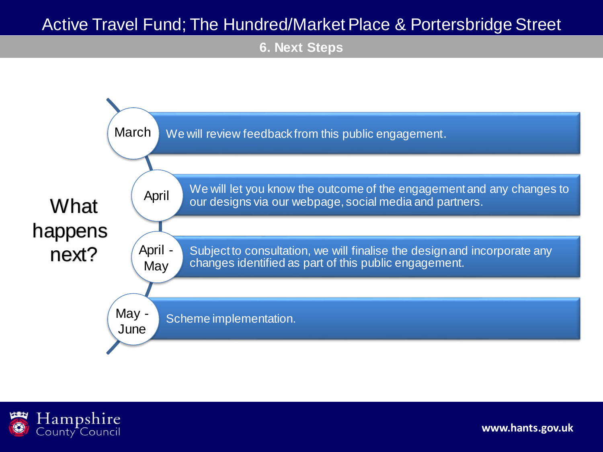**6. Next Steps**